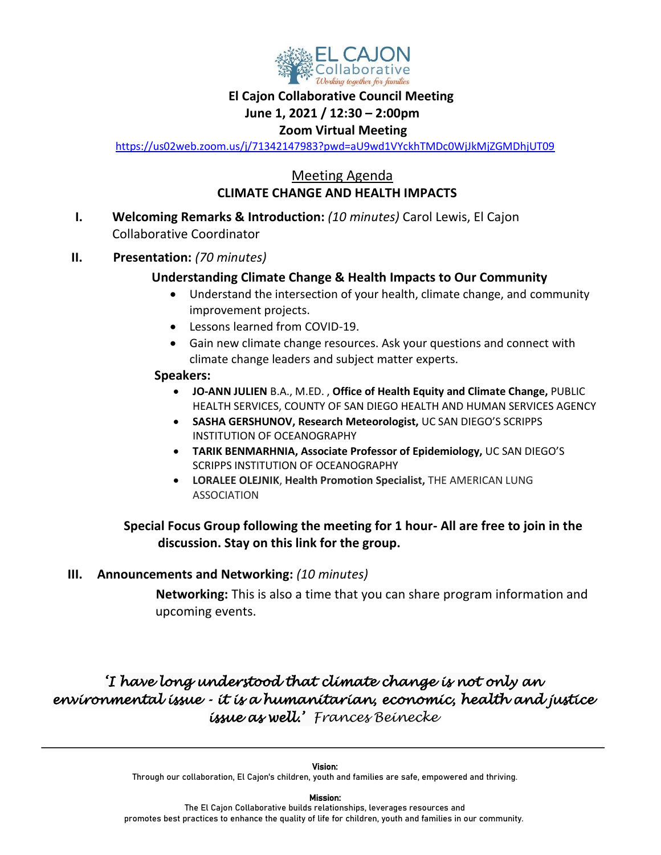

## **El Cajon Collaborative Council Meeting**

### **June 1, 2021 / 12:30 – 2:00pm**

## **Zoom Virtual Meeting**

<https://us02web.zoom.us/j/71342147983?pwd=aU9wd1VYckhTMDc0WjJkMjZGMDhjUT09>

# Meeting Agenda  **CLIMATE CHANGE AND HEALTH IMPACTS**

- **I. Welcoming Remarks & Introduction:** *(10 minutes)* Carol Lewis, El Cajon Collaborative Coordinator
- **II. Presentation:** *(70 minutes)*

## **Understanding Climate Change & Health Impacts to Our Community**

- Understand the intersection of your health, climate change, and community improvement projects.
- Lessons learned from COVID-19.
- Gain new climate change resources. Ask your questions and connect with climate change leaders and subject matter experts.

#### **Speakers:**

- **JO-ANN JULIEN** B.A., M.ED. , **Office of Health Equity and Climate Change,** PUBLIC HEALTH SERVICES, COUNTY OF SAN DIEGO HEALTH AND HUMAN SERVICES AGENCY
- **SASHA GERSHUNOV, Research Meteorologist,** UC SAN DIEGO'S SCRIPPS INSTITUTION OF OCEANOGRAPHY
- **TARIK BENMARHNIA, Associate Professor of Epidemiology,** UC SAN DIEGO'S SCRIPPS INSTITUTION OF OCEANOGRAPHY
- **LORALEE OLEJNIK**, **Health Promotion Specialist,** THE AMERICAN LUNG ASSOCIATION

# **Special Focus Group following the meeting for 1 hour- All are free to join in the discussion. Stay on this link for the group.**

## **III. Announcements and Networking:** *(10 minutes)*

 **Networking:** This is also a time that you can share program information and upcoming events.

# *'I have long understood that climate change is not only an environmental issue - it is a humanitarian, economic, health and justice issue as well.' Frances Beinecke*

Mission:

The El Cajon Collaborative builds relationships, leverages resources and promotes best practices to enhance the quality of life for children, youth and families in our community.